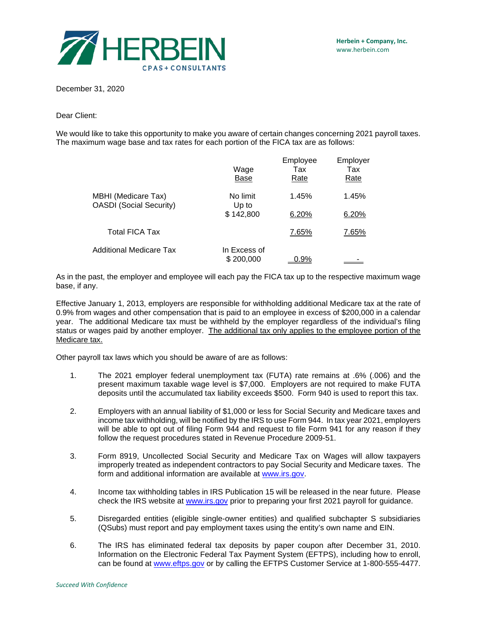

December 31, 2020

Dear Client:

We would like to take this opportunity to make you aware of certain changes concerning 2021 payroll taxes. The maximum wage base and tax rates for each portion of the FICA tax are as follows:

|                                                              | Wage<br>Base              | Employee<br>Tax<br><u>Rate</u> | Employer<br>Tax<br><u>Rate</u> |
|--------------------------------------------------------------|---------------------------|--------------------------------|--------------------------------|
| <b>MBHI</b> (Medicare Tax)<br><b>OASDI</b> (Social Security) | No limit<br>Up to         | 1.45%                          | 1.45%                          |
|                                                              | \$142,800                 | 6.20%                          | 6.20%                          |
| <b>Total FICA Tax</b>                                        |                           | 7.65%                          | 7.65%                          |
| <b>Additional Medicare Tax</b>                               | In Excess of<br>\$200,000 | $0.9\%$                        |                                |

As in the past, the employer and employee will each pay the FICA tax up to the respective maximum wage base, if any.

Effective January 1, 2013, employers are responsible for withholding additional Medicare tax at the rate of 0.9% from wages and other compensation that is paid to an employee in excess of \$200,000 in a calendar year. The additional Medicare tax must be withheld by the employer regardless of the individual's filing status or wages paid by another employer. The additional tax only applies to the employee portion of the Medicare tax.

Other payroll tax laws which you should be aware of are as follows:

- 1. The 2021 employer federal unemployment tax (FUTA) rate remains at .6% (.006) and the present maximum taxable wage level is \$7,000. Employers are not required to make FUTA deposits until the accumulated tax liability exceeds \$500. Form 940 is used to report this tax.
- 2. Employers with an annual liability of \$1,000 or less for Social Security and Medicare taxes and income tax withholding, will be notified by the IRS to use Form 944. In tax year 2021, employers will be able to opt out of filing Form 944 and request to file Form 941 for any reason if they follow the request procedures stated in Revenue Procedure 2009-51.
- 3. Form 8919, Uncollected Social Security and Medicare Tax on Wages will allow taxpayers improperly treated as independent contractors to pay Social Security and Medicare taxes. The form and additional information are available at [www.irs.gov.](http://www.irs.gov/)
- 4. Income tax withholding tables in IRS Publication 15 will be released in the near future. Please check the IRS website at [www.irs.gov](http://www.irs.gov/) prior to preparing your first 2021 payroll for guidance.
- 5. Disregarded entities (eligible single-owner entities) and qualified subchapter S subsidiaries (QSubs) must report and pay employment taxes using the entity's own name and EIN.
- 6. The IRS has eliminated federal tax deposits by paper coupon after December 31, 2010. Information on the Electronic Federal Tax Payment System (EFTPS), including how to enroll, can be found at [www.eftps.gov](https://www.eftps.gov/eftps) or by calling the EFTPS Customer Service at 1-800-555-4477.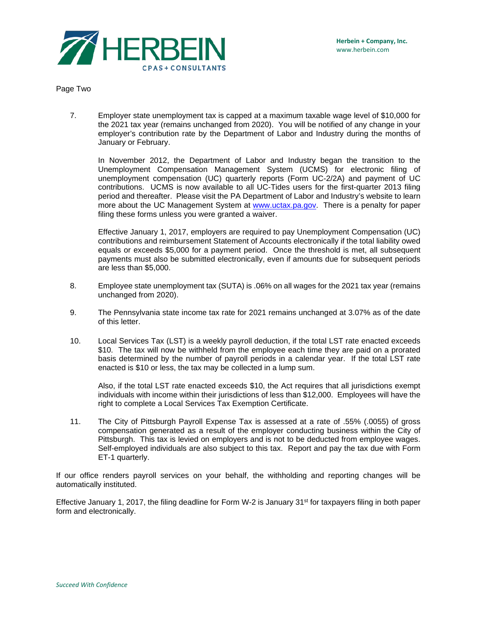

Page Two

7. Employer state unemployment tax is capped at a maximum taxable wage level of \$10,000 for the 2021 tax year (remains unchanged from 2020). You will be notified of any change in your employer's contribution rate by the Department of Labor and Industry during the months of January or February.

In November 2012, the Department of Labor and Industry began the transition to the Unemployment Compensation Management System (UCMS) for electronic filing of unemployment compensation (UC) quarterly reports (Form UC-2/2A) and payment of UC contributions. UCMS is now available to all UC-Tides users for the first-quarter 2013 filing period and thereafter. Please visit the PA Department of Labor and Industry's website to learn more about the UC Management System at [www.uctax.pa.gov.](http://www.uctax.pa.gov/) There is a penalty for paper filing these forms unless you were granted a waiver.

Effective January 1, 2017, employers are required to pay Unemployment Compensation (UC) contributions and reimbursement Statement of Accounts electronically if the total liability owed equals or exceeds \$5,000 for a payment period. Once the threshold is met, all subsequent payments must also be submitted electronically, even if amounts due for subsequent periods are less than \$5,000.

- 8. Employee state unemployment tax (SUTA) is .06% on all wages for the 2021 tax year (remains unchanged from 2020).
- 9. The Pennsylvania state income tax rate for 2021 remains unchanged at 3.07% as of the date of this letter.
- 10. Local Services Tax (LST) is a weekly payroll deduction, if the total LST rate enacted exceeds \$10. The tax will now be withheld from the employee each time they are paid on a prorated basis determined by the number of payroll periods in a calendar year. If the total LST rate enacted is \$10 or less, the tax may be collected in a lump sum.

Also, if the total LST rate enacted exceeds \$10, the Act requires that all jurisdictions exempt individuals with income within their jurisdictions of less than \$12,000. Employees will have the right to complete a Local Services Tax Exemption Certificate.

11. The City of Pittsburgh Payroll Expense Tax is assessed at a rate of .55% (.0055) of gross compensation generated as a result of the employer conducting business within the City of Pittsburgh. This tax is levied on employers and is not to be deducted from employee wages. Self-employed individuals are also subject to this tax. Report and pay the tax due with Form ET-1 quarterly.

If our office renders payroll services on your behalf, the withholding and reporting changes will be automatically instituted.

Effective January 1, 2017, the filing deadline for Form W-2 is January 31st for taxpayers filing in both paper form and electronically.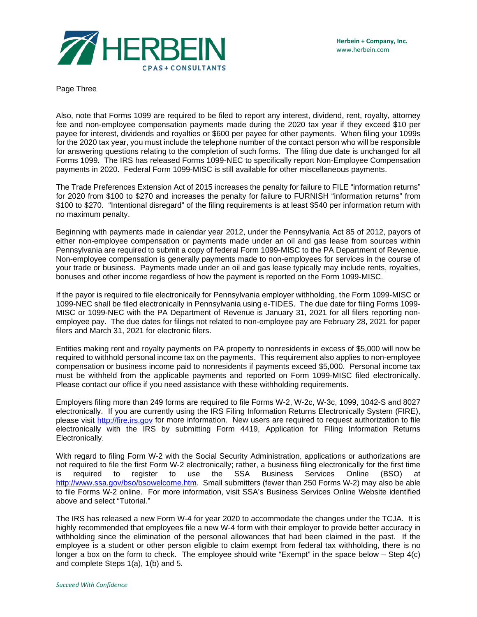

Page Three

Also, note that Forms 1099 are required to be filed to report any interest, dividend, rent, royalty, attorney fee and non-employee compensation payments made during the 2020 tax year if they exceed \$10 per payee for interest, dividends and royalties or \$600 per payee for other payments. When filing your 1099s for the 2020 tax year, you must include the telephone number of the contact person who will be responsible for answering questions relating to the completion of such forms. The filing due date is unchanged for all Forms 1099. The IRS has released Forms 1099-NEC to specifically report Non-Employee Compensation payments in 2020. Federal Form 1099-MISC is still available for other miscellaneous payments.

The Trade Preferences Extension Act of 2015 increases the penalty for failure to FILE "information returns" for 2020 from \$100 to \$270 and increases the penalty for failure to FURNISH "information returns" from \$100 to \$270. "Intentional disregard" of the filing requirements is at least \$540 per information return with no maximum penalty.

Beginning with payments made in calendar year 2012, under the Pennsylvania Act 85 of 2012, payors of either non-employee compensation or payments made under an oil and gas lease from sources within Pennsylvania are required to submit a copy of federal Form 1099-MISC to the PA Department of Revenue. Non-employee compensation is generally payments made to non-employees for services in the course of your trade or business. Payments made under an oil and gas lease typically may include rents, royalties, bonuses and other income regardless of how the payment is reported on the Form 1099-MISC.

If the payor is required to file electronically for Pennsylvania employer withholding, the Form 1099-MISC or 1099-NEC shall be filed electronically in Pennsylvania using e-TIDES. The due date for filing Forms 1099- MISC or 1099-NEC with the PA Department of Revenue is January 31, 2021 for all filers reporting nonemployee pay. The due dates for filings not related to non-employee pay are February 28, 2021 for paper filers and March 31, 2021 for electronic filers.

Entities making rent and royalty payments on PA property to nonresidents in excess of \$5,000 will now be required to withhold personal income tax on the payments. This requirement also applies to non-employee compensation or business income paid to nonresidents if payments exceed \$5,000. Personal income tax must be withheld from the applicable payments and reported on Form 1099-MISC filed electronically. Please contact our office if you need assistance with these withholding requirements.

Employers filing more than 249 forms are required to file Forms W-2, W-2c, W-3c, 1099, 1042-S and 8027 electronically. If you are currently using the IRS Filing Information Returns Electronically System (FIRE), please visit [http://fire.irs.gov](https://fire.irs.gov/) for more information. New users are required to request authorization to file electronically with the IRS by submitting Form 4419, Application for Filing Information Returns Electronically.

With regard to filing Form W-2 with the Social Security Administration, applications or authorizations are not required to file the first Form W-2 electronically; rather, a business filing electronically for the first time is required to register to use the SSA Business Services Online (BSO) at [http://www.ssa.gov/bso/bsowelcome.htm.](http://www.ssa.gov/bso/bsowelcome.htm) Small submitters (fewer than 250 Forms W-2) may also be able to file Forms W-2 online. For more information, visit SSA's Business Services Online Website identified above and select "Tutorial."

The IRS has released a new Form W-4 for year 2020 to accommodate the changes under the TCJA. It is highly recommended that employees file a new W-4 form with their employer to provide better accuracy in withholding since the elimination of the personal allowances that had been claimed in the past. If the employee is a student or other person eligible to claim exempt from federal tax withholding, there is no longer a box on the form to check. The employee should write "Exempt" in the space below – Step 4(c) and complete Steps 1(a), 1(b) and 5.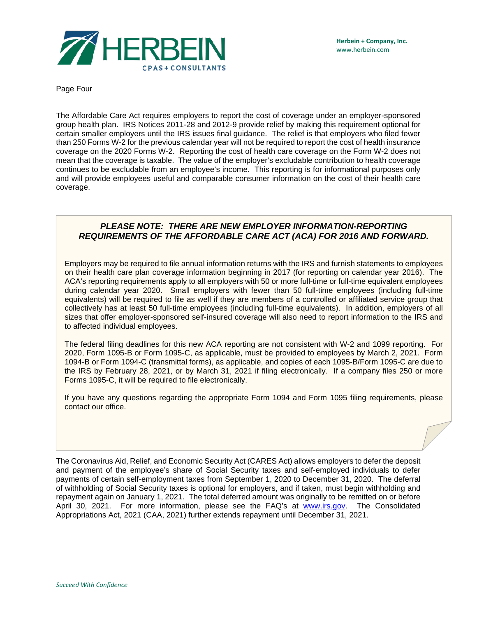

Page Four

The Affordable Care Act requires employers to report the cost of coverage under an employer-sponsored group health plan. IRS Notices 2011-28 and 2012-9 provide relief by making this requirement optional for certain smaller employers until the IRS issues final guidance. The relief is that employers who filed fewer than 250 Forms W-2 for the previous calendar year will not be required to report the cost of health insurance coverage on the 2020 Forms W-2. Reporting the cost of health care coverage on the Form W-2 does not mean that the coverage is taxable. The value of the employer's excludable contribution to health coverage continues to be excludable from an employee's income. This reporting is for informational purposes only and will provide employees useful and comparable consumer information on the cost of their health care coverage.

## *PLEASE NOTE: THERE ARE NEW EMPLOYER INFORMATION-REPORTING REQUIREMENTS OF THE AFFORDABLE CARE ACT (ACA) FOR 2016 AND FORWARD.*

Employers may be required to file annual information returns with the IRS and furnish statements to employees on their health care plan coverage information beginning in 2017 (for reporting on calendar year 2016). The ACA's reporting requirements apply to all employers with 50 or more full-time or full-time equivalent employees during calendar year 2020. Small employers with fewer than 50 full-time employees (including full-time equivalents) will be required to file as well if they are members of a controlled or affiliated service group that collectively has at least 50 full-time employees (including full-time equivalents). In addition, employers of all sizes that offer employer-sponsored self-insured coverage will also need to report information to the IRS and to affected individual employees.

The federal filing deadlines for this new ACA reporting are not consistent with W-2 and 1099 reporting. For 2020, Form 1095-B or Form 1095-C, as applicable, must be provided to employees by March 2, 2021. Form 1094-B or Form 1094-C (transmittal forms), as applicable, and copies of each 1095-B/Form 1095-C are due to the IRS by February 28, 2021, or by March 31, 2021 if filing electronically. If a company files 250 or more Forms 1095-C, it will be required to file electronically.

If you have any questions regarding the appropriate Form 1094 and Form 1095 filing requirements, please contact our office.

The Coronavirus Aid, Relief, and Economic Security Act (CARES Act) allows employers to defer the deposit and payment of the employee's share of Social Security taxes and self-employed individuals to defer payments of certain self-employment taxes from September 1, 2020 to December 31, 2020. The deferral of withholding of Social Security taxes is optional for employers, and if taken, must begin withholding and repayment again on January 1, 2021. The total deferred amount was originally to be remitted on or before April 30, 2021. For more information, please see the FAQ's at [www.irs.gov.](http://www.irs.gov/) The Consolidated Appropriations Act, 2021 (CAA, 2021) further extends repayment until December 31, 2021.